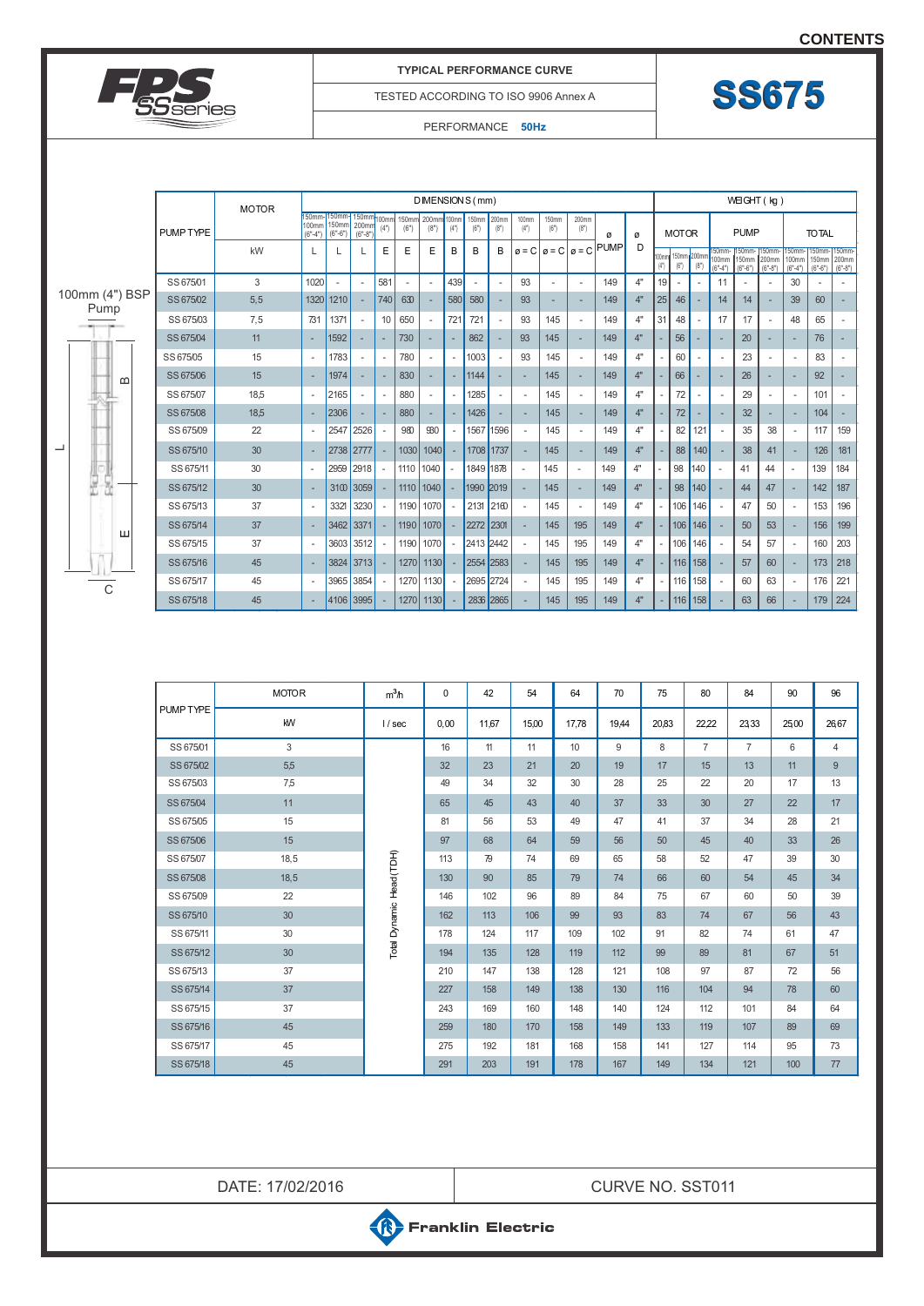**[CONTENTS](#page-2-0)**



## **TYPICAL PERFORMANCE CURVE**

TESTED ACCORDING TO ISO 9906 Annex A

## PERFORMANCE **50Hz**

| <b>MOTOR</b>           |           |      | DIMENSION S (mm)             |                             |                                         |                          |                            |               |               |               |                          |               |                            | WEIGHT (kg)   |                                                           |              |                    |           |                              |                             |                             |                              |                                     |                             |                          |
|------------------------|-----------|------|------------------------------|-----------------------------|-----------------------------------------|--------------------------|----------------------------|---------------|---------------|---------------|--------------------------|---------------|----------------------------|---------------|-----------------------------------------------------------|--------------|--------------------|-----------|------------------------------|-----------------------------|-----------------------------|------------------------------|-------------------------------------|-----------------------------|--------------------------|
|                        | PUMP TYPE |      | 150mm-<br>100mm<br>$(6 - 4)$ | 150mm<br>150mm<br>$(6 - 6)$ | 150 <sub>mr</sub><br>200mr<br>$(6 - 8)$ | 100mn<br>(4"             | 150mm<br>(6 <sup>n</sup> ) | 200mm<br>(8") | 100mm<br>(4") | 150mm<br>(6") | 200mm<br>(8")            | 100mm<br>(4") | 150mm<br>(6 <sup>n</sup> ) | 200mm<br>(8") | ø<br>ø                                                    |              | <b>MOTOR</b>       |           |                              | <b>PUMP</b>                 |                             |                              | <b>TOTAL</b>                        |                             |                          |
|                        |           | kW   |                              |                             |                                         | E                        | E                          | E             | B             | B             | В                        |               |                            |               | D<br>$\sigma$ = C $\sigma$ = C $\sigma$ = C $\text{PUMP}$ | 00mm<br>(4") | 150mm 200m<br>(6") | (8")      | 150mm-<br>100mm<br>$(6°-4")$ | 50mm-<br>150mm<br>$(6 - 6)$ | 150mm<br>200mm<br>$(6 - 8)$ | 150mm-<br>100mm<br>$(6 - 4)$ | 150mm-<br><b>150mm</b><br>$(6 - 6)$ | 150mm<br>200mm<br>$(6 - 8)$ |                          |
|                        | SS 675/01 | 3    | 1020                         |                             |                                         | 581                      |                            |               | 439           |               | ٠.                       | 93            |                            |               | 149                                                       | 4"           | 19                 |           |                              | 11                          |                             |                              | 30                                  |                             |                          |
| 100mm (4") BSP<br>Pump | SS 675/02 | 5, 5 | 1320                         | 1210                        |                                         | 740                      | 630                        |               | 580           | 580           |                          | 93            | $\overline{\phantom{a}}$   |               | 149                                                       | 4"           | 25                 | 46        |                              | 14                          | 14                          |                              | 39                                  | 60                          |                          |
|                        | SS 675/03 | 7,5  | 731                          | 1371                        | $\overline{\phantom{a}}$                | 10                       | 650                        |               | 721           | 721           | $\sim$                   | 93            | 145                        |               | 149                                                       | 4"           | 31                 | 48        |                              | 17                          | 17                          |                              | 48                                  | 65                          | $\overline{\phantom{a}}$ |
|                        | SS 675/04 | 11   |                              | 1592                        |                                         |                          | 730                        |               |               | 862           |                          | 93            | 145                        |               | 149                                                       | 4"           |                    | 56        |                              |                             | 20                          |                              |                                     | 76                          |                          |
|                        | SS 675/05 | 15   |                              | 1783                        |                                         |                          | 780                        |               |               | 1003          | $\overline{\phantom{a}}$ | 93            | 145                        |               | 149                                                       | 4"           |                    | 60        |                              |                             | 23                          |                              |                                     | 83                          |                          |
| മ<br>┙                 | SS 675/06 | 15   |                              | 1974                        |                                         |                          | 830                        |               |               | 1144          |                          |               | 145                        |               | 149                                                       | 4"           |                    | 66        |                              |                             | 26                          |                              |                                     | 92                          |                          |
|                        | SS 675/07 | 18,5 |                              | 2165                        |                                         |                          | 880                        |               |               | 1285          | $\overline{\phantom{a}}$ |               | 145                        |               | 149                                                       | 4"           |                    | 72        |                              |                             | 29                          |                              |                                     | 101                         |                          |
|                        | SS 675/08 | 18,5 |                              | 2306                        |                                         |                          | 880                        |               |               | 1426          |                          |               | 145                        |               | 149                                                       | 4"           |                    | 72        |                              |                             | 32                          |                              |                                     | 104                         |                          |
|                        | SS 675/09 | 22   |                              |                             | 2547 2526                               |                          | 980                        | 930           |               | 1567 1596     |                          |               | 145                        |               | 149                                                       | 4"           |                    | 82        | 121                          |                             | 35                          | 38                           |                                     | 117                         | 159                      |
|                        | SS 675/10 | 30   |                              |                             | 2738 2777                               |                          | 1030                       | 1040          |               | 1708 1737     |                          |               | 145                        |               | 149                                                       | 4"           |                    | 88        | 140                          |                             | 38                          | 41                           |                                     | 126                         | 181                      |
|                        | SS 675/11 | 30   |                              | 2959                        | 2918                                    |                          | 1110                       | 1040          |               | 1849 1878     |                          |               | 145                        | ٠             | 149                                                       | 4"           |                    | 98        | 140                          |                             | 41                          | 44                           |                                     | 139                         | 184                      |
| e<br>黒                 | SS 675/12 | 30   |                              |                             | 3100 3059                               |                          |                            | 1110 1040     |               | 1990 2019     |                          |               | 145                        |               | 149                                                       | 4"           |                    | 98        | 140                          |                             | 44                          | 47                           |                                     | 142                         | 187                      |
|                        | SS 675/13 | 37   |                              | 3321                        | 3230                                    |                          | 1190 1070                  |               |               | 2131 2160     |                          |               | 145                        |               | 149                                                       | 4"           |                    | 106       | 146                          |                             | 47                          | 50                           |                                     | 153                         | 196                      |
|                        | SS 675/14 | 37   |                              |                             | 3462 3371                               |                          |                            | 1190 1070     |               | 2272 2301     |                          |               | 145                        | 195           | 149                                                       | 4"           |                    | 106 146   |                              |                             | 50                          | 53                           |                                     | 156                         | 199                      |
| ш                      | SS 675/15 | 37   |                              | 3603                        | 3512                                    |                          | 1190                       | 1070          |               | 2413 2442     |                          |               | 145                        | 195           | 149                                                       | 4"           |                    | 106       | 146                          |                             | 54                          | 57                           |                                     | 160                         | 203                      |
|                        | SS 675/16 | 45   |                              |                             | 3824 3713                               |                          |                            | 1270 1130     |               | 2554 2583     |                          |               | 145                        | 195           | 149                                                       | 4"           |                    | $116$ 158 |                              |                             | 57                          | 60                           |                                     | 173                         | 218                      |
|                        | SS 675/17 | 45   |                              |                             | 3965 3854                               | $\overline{\phantom{a}}$ |                            | 1270 1130     |               | 2695 2724     |                          |               | 145                        | 195           | 149                                                       | 4"           |                    | 116       | 158                          |                             | 60                          | 63                           |                                     | 176                         | 221                      |
| C                      | SS 675/18 | 45   |                              | 4106 3995                   |                                         |                          |                            | 1270 1130     |               | 2836 2865     |                          |               | 145                        | 195           | 149                                                       | 4"           |                    | $116$ 158 |                              |                             | 63                          | 66                           |                                     | 179                         | 224                      |

|           | <b>MOTOR</b> | m <sup>3</sup> h         | 0    | 42    | 54    | 64    | 70    | 75    | 80             | 84             | 90   | 96             |
|-----------|--------------|--------------------------|------|-------|-------|-------|-------|-------|----------------|----------------|------|----------------|
| PUMP TYPE | KW           | 1/sec                    | 0,00 | 11.67 | 15,00 | 17.78 | 19.44 | 20,83 | 22,22          | 2333           | 2500 | 2667           |
| SS 675/01 | 3            |                          | 16   | 11    | 11    | 10    | 9     | 8     | $\overline{7}$ | $\overline{7}$ | 6    | $\overline{4}$ |
| SS 675/02 | 5,5          |                          | 32   | 23    | 21    | 20    | 19    | 17    | 15             | 13             | 11   | 9              |
| SS 675/03 | 7,5          |                          | 49   | 34    | 32    | 30    | 28    | 25    | 22             | 20             | 17   | 13             |
| SS 675/04 | 11           |                          | 65   | 45    | 43    | 40    | 37    | 33    | 30             | 27             | 22   | 17             |
| SS 675/05 | 15           |                          | 81   | 56    | 53    | 49    | 47    | 41    | 37             | 34             | 28   | 21             |
| SS 675/06 | 15           |                          | 97   | 68    | 64    | 59    | 56    | 50    | 45             | 40             | 33   | 26             |
| SS 675/07 | 18,5         |                          | 113  | 79    | 74    | 69    | 65    | 58    | 52             | 47             | 39   | 30             |
| SS 675/08 | 18,5         |                          | 130  | 90    | 85    | 79    | 74    | 66    | 60             | 54             | 45   | 34             |
| SS 675/09 | 22           |                          | 146  | 102   | 96    | 89    | 84    | 75    | 67             | 60             | 50   | 39             |
| SS 675/10 | 30           | Total Dynamic Head (TDH) | 162  | 113   | 106   | 99    | 93    | 83    | 74             | 67             | 56   | 43             |
| SS 675/11 | 30           |                          | 178  | 124   | 117   | 109   | 102   | 91    | 82             | 74             | 61   | 47             |
| SS 675/12 | 30           |                          | 194  | 135   | 128   | 119   | 112   | 99    | 89             | 81             | 67   | 51             |
| SS 675/13 | 37           |                          | 210  | 147   | 138   | 128   | 121   | 108   | 97             | 87             | 72   | 56             |
| SS 675/14 | 37           |                          | 227  | 158   | 149   | 138   | 130   | 116   | 104            | 94             | 78   | 60             |
| SS 675/15 | 37           |                          | 243  | 169   | 160   | 148   | 140   | 124   | 112            | 101            | 84   | 64             |
| SS 675/16 | 45           |                          | 259  | 180   | 170   | 158   | 149   | 133   | 119            | 107            | 89   | 69             |
| SS 675/17 | 45           |                          | 275  | 192   | 181   | 168   | 158   | 141   | 127            | 114            | 95   | 73             |
| SS 675/18 | 45           |                          | 291  | 203   | 191   | 178   | 167   | 149   | 134            | 121            | 100  | 77             |

DATE: 17/02/2016 **CURVE NO. SST011** 

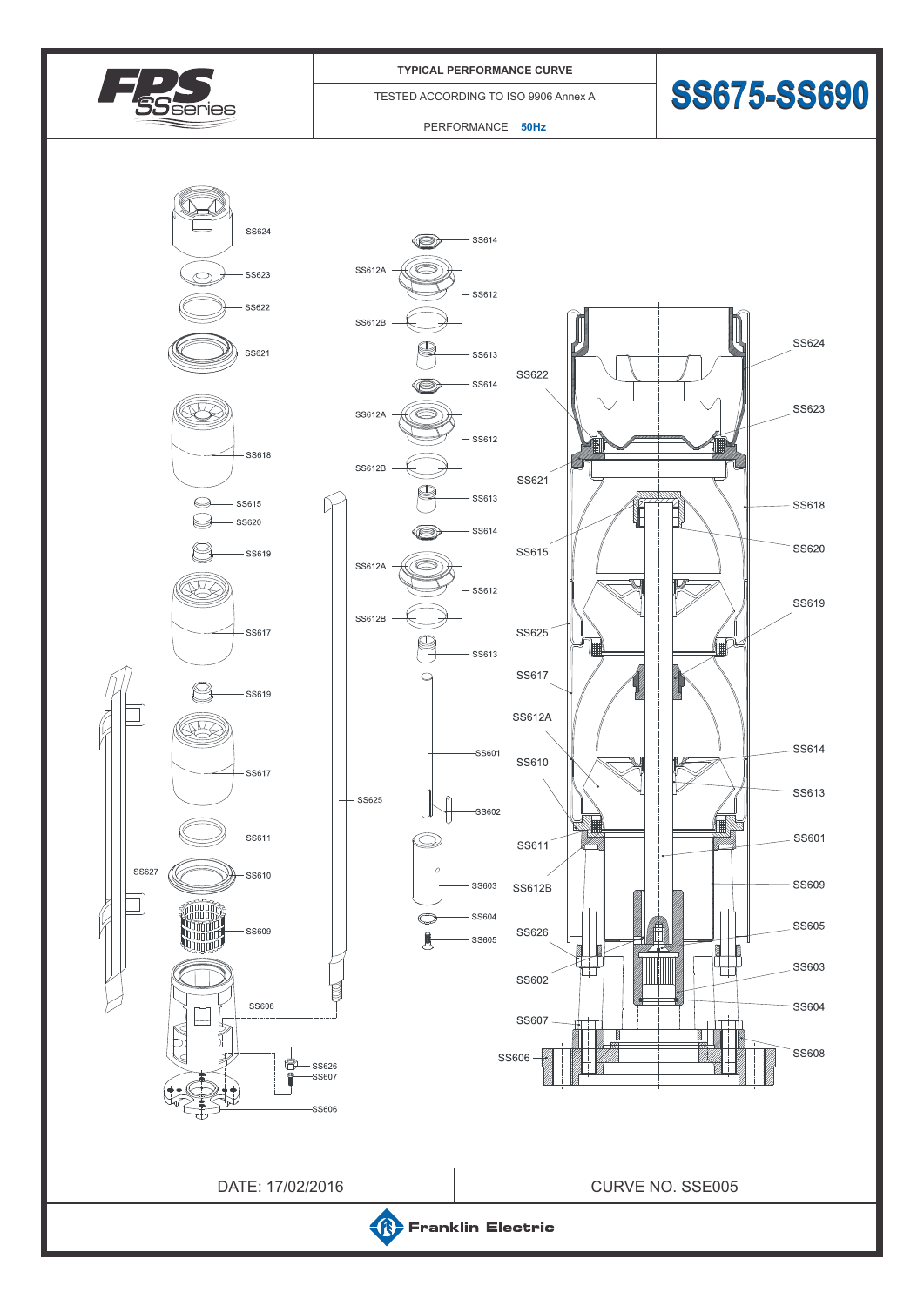